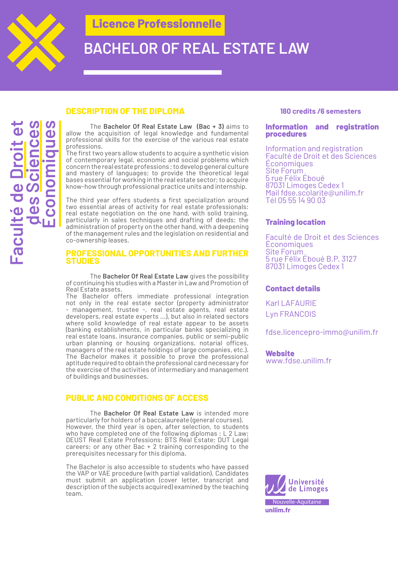

**Faculté de Droit et** 

Faculté de I

**des Sciences Économiques**

# **BACHELOR OF REAL ESTATE LAW**

### **DESCRIPTION OF THE DIPLOMA**

The **Bachelor Of Real Estate Law (Bac + 3)** aims to allow the acquisition of legal knowledge and fundamental professional skills for the exercise of the various real estate professions.

The first two years allow students to acquire a synthetic vision of contemporary legal, economic and social problems which concern the real estate professions ; to develop general culture and mastery of languages; to provide the theoretical legal bases essential for working in the real estate sector; to acquire know-how through professional practice units and internship.

The third year offers students a first specialization around two essential areas of activity for real estate professionals: real estate negotiation on the one hand, with solid training, particularly in sales techniques and drafting of deeds; the administration of property on the other hand, with a deepening of the management rules and the legislation on residential and co-ownership leases.

#### **PROFESSIONAL OPPORTUNITIES AND FURTHER STUDIES**

The **Bachelor Of Real Estate Law** gives the possibility of continuing his studies with a Master in Law and Promotion of Real Estate assets.

The Bachelor offers immediate professional integration not only in the real estate sector (property administrator - management, trustee -, real estate agents, real estate developers, real estate experts ...), but also in related sectors where solid knowledge of real estate appear to be assets (banking establishments, in particular banks specializing in real estate loans, insurance companies, public or semi-public urban planning or housing organizations, notarial offices, managers of the real estate holdings of large companies, etc.). The Bachelor makes it possible to prove the professional aptitude required to obtain the professional card necessary for the exercise of the activities of intermediary and management of buildings and businesses.

## **PUBLIC AND CONDITIONS OF ACCESS**

The **Bachelor Of Real Estate Law** is intended more particularly for holders of a baccalaureate (general courses). However, the third year is open, after selection, to students who have completed one of the following diplomas : L 2 Law; DEUST Real Estate Professions; BTS Real Estate; DUT Legal careers; or any other Bac + 2 training corresponding to the prerequisites necessary for this diploma.

The Bachelor is also accessible to students who have passed the VAP or VAE procedure (with partial validation). Candidates must submit an application (cover letter, transcript and description of the subjects acquired) examined by the teaching team.

#### **180 credits /6 semesters**

#### **Information and registration procedures**

Information and registration Faculté de Droit et des Sciences Économiques Site Forum 5 rue Félix Éboué 87031 Limoges Cedex 1 Mail fdse.scolarite@unilim.fr Tél 05 55 14 90 03

### **Training location**

Faculté de Droit et des Sciences Économiques Site Forum 5 rue Félix Éboué B.P. 3127 87031 Limoges Cedex 1

#### **Contact details**

Karl LAFAURIE Lyn FRANCOIS

fdse.licencepro-immo@unilim.fr

**Website** www.fdse.unilim.fr